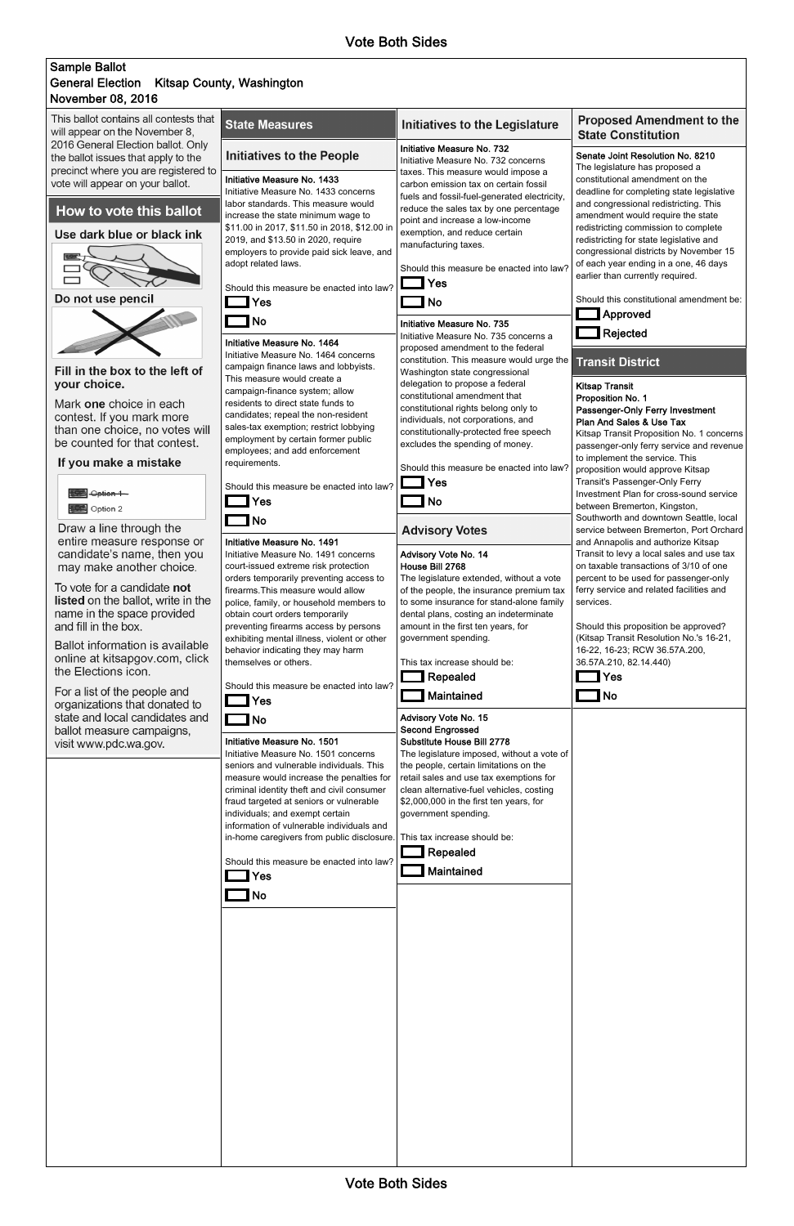## November 08, 2016 Sample Ballot General Election Kitsap County, Washington

| This ballot contains all contests that<br>will appear on the November 8,                                          | <b>State Measures</b>                                                                                                                                                      | <b>Initiatives to the Legislature</b>                                                                                                                                       | <b>Proposed Amendment to the</b><br><b>State Constitution</b>                                                                                                  |
|-------------------------------------------------------------------------------------------------------------------|----------------------------------------------------------------------------------------------------------------------------------------------------------------------------|-----------------------------------------------------------------------------------------------------------------------------------------------------------------------------|----------------------------------------------------------------------------------------------------------------------------------------------------------------|
| 2016 General Election ballot. Only<br>the ballot issues that apply to the<br>precinct where you are registered to | <b>Initiatives to the People</b>                                                                                                                                           | Initiative Measure No. 732<br>Initiative Measure No. 732 concerns<br>taxes. This measure would impose a                                                                     | Senate Joint Resolution No. 8210<br>The legislature has proposed a                                                                                             |
| vote will appear on your ballot.<br>How to vote this ballot                                                       | Initiative Measure No. 1433<br>Initiative Measure No. 1433 concerns<br>labor standards. This measure would                                                                 | carbon emission tax on certain fossil<br>fuels and fossil-fuel-generated electricity,<br>reduce the sales tax by one percentage                                             | constitutional amendment on the<br>deadline for completing state legislative<br>and congressional redistricting. This                                          |
| Use dark blue or black ink                                                                                        | increase the state minimum wage to<br>\$11.00 in 2017, \$11.50 in 2018, \$12.00 in<br>2019, and \$13.50 in 2020, require<br>employers to provide paid sick leave, and      | point and increase a low-income<br>exemption, and reduce certain<br>manufacturing taxes.                                                                                    | amendment would require the state<br>redistricting commission to complete<br>redistricting for state legislative and<br>congressional districts by November 15 |
|                                                                                                                   | adopt related laws.<br>Should this measure be enacted into law?                                                                                                            | Should this measure be enacted into law?<br>Yes                                                                                                                             | of each year ending in a one, 46 days<br>earlier than currently required.                                                                                      |
| Do not use pencil                                                                                                 | Yes<br><b>No</b>                                                                                                                                                           | <b>No</b><br>Initiative Measure No. 735                                                                                                                                     | Should this constitutional amendment be:<br>$\Box$ Approved<br>Rejected                                                                                        |
| Fill in the box to the left of                                                                                    | Initiative Measure No. 1464<br>Initiative Measure No. 1464 concerns<br>campaign finance laws and lobbyists.                                                                | Initiative Measure No. 735 concerns a<br>proposed amendment to the federal<br>constitution. This measure would urge the<br>Washington state congressional                   | <b>Transit District</b>                                                                                                                                        |
| your choice.<br>Mark one choice in each                                                                           | This measure would create a<br>campaign-finance system; allow<br>residents to direct state funds to                                                                        | delegation to propose a federal<br>constitutional amendment that<br>constitutional rights belong only to                                                                    | <b>Kitsap Transit</b><br>Proposition No. 1<br>Passenger-Only Ferry Investment                                                                                  |
| contest. If you mark more<br>than one choice, no votes will<br>be counted for that contest.                       | candidates; repeal the non-resident<br>sales-tax exemption; restrict lobbying<br>employment by certain former public                                                       | individuals, not corporations, and<br>constitutionally-protected free speech<br>excludes the spending of money.                                                             | Plan And Sales & Use Tax<br>Kitsap Transit Proposition No. 1 concerns<br>passenger-only ferry service and revenue                                              |
| If you make a mistake                                                                                             | employees; and add enforcement<br>requirements.                                                                                                                            | Should this measure be enacted into law?<br>Yes                                                                                                                             | to implement the service. This<br>proposition would approve Kitsap<br>Transit's Passenger-Only Ferry                                                           |
| Option 1<br>Option 2                                                                                              | Should this measure be enacted into law?<br>Yes<br><b>No</b>                                                                                                               | <b>No</b>                                                                                                                                                                   | Investment Plan for cross-sound service<br>between Bremerton, Kingston,<br>Southworth and downtown Seattle, local                                              |
| Draw a line through the<br>entire measure response or<br>candidate's name, then you                               | Initiative Measure No. 1491<br>Initiative Measure No. 1491 concerns                                                                                                        | <b>Advisory Votes</b><br>Advisory Vote No. 14                                                                                                                               | service between Bremerton, Port Orchard<br>and Annapolis and authorize Kitsap<br>Transit to levy a local sales and use tax                                     |
| may make another choice.<br>To vote for a candidate not                                                           | court-issued extreme risk protection<br>orders temporarily preventing access to<br>firearms. This measure would allow                                                      | House Bill 2768<br>The legislature extended, without a vote<br>of the people, the insurance premium tax                                                                     | on taxable transactions of 3/10 of one<br>percent to be used for passenger-only<br>ferry service and related facilities and                                    |
| <b>listed</b> on the ballot, write in the<br>name in the space provided<br>and fill in the box.                   | police, family, or household members to<br>obtain court orders temporarily<br>preventing firearms access by persons                                                        | to some insurance for stand-alone family<br>dental plans, costing an indeterminate<br>amount in the first ten years, for                                                    | services.<br>Should this proposition be approved?                                                                                                              |
| Ballot information is available<br>online at kitsapgov.com, click<br>the Elections icon.                          | exhibiting mental illness, violent or other<br>behavior indicating they may harm<br>themselves or others.                                                                  | government spending.<br>This tax increase should be:                                                                                                                        | (Kitsap Transit Resolution No.'s 16-21,<br>16-22, 16-23; RCW 36.57A.200,<br>36.57A.210, 82.14.440)                                                             |
| For a list of the people and<br>organizations that donated to                                                     | Should this measure be enacted into law?<br>Yes                                                                                                                            | Repealed<br>Maintained                                                                                                                                                      | Yes<br><b>No</b>                                                                                                                                               |
| state and local candidates and<br>ballot measure campaigns,<br>visit www.pdc.wa.gov.                              | <b>No</b><br>Initiative Measure No. 1501                                                                                                                                   | Advisory Vote No. 15<br><b>Second Engrossed</b><br>Substitute House Bill 2778                                                                                               |                                                                                                                                                                |
|                                                                                                                   | Initiative Measure No. 1501 concerns<br>seniors and vulnerable individuals. This<br>measure would increase the penalties for<br>criminal identity theft and civil consumer | The legislature imposed, without a vote of<br>the people, certain limitations on the<br>retail sales and use tax exemptions for<br>clean alternative-fuel vehicles, costing |                                                                                                                                                                |
|                                                                                                                   | fraud targeted at seniors or vulnerable<br>individuals; and exempt certain<br>information of vulnerable individuals and<br>in-home caregivers from public disclosure.      | \$2,000,000 in the first ten years, for<br>government spending.<br>This tax increase should be:                                                                             |                                                                                                                                                                |
|                                                                                                                   | Should this measure be enacted into law?<br>Yes                                                                                                                            | Repealed<br>Maintained                                                                                                                                                      |                                                                                                                                                                |
|                                                                                                                   | No                                                                                                                                                                         |                                                                                                                                                                             |                                                                                                                                                                |

Vote Both Sides